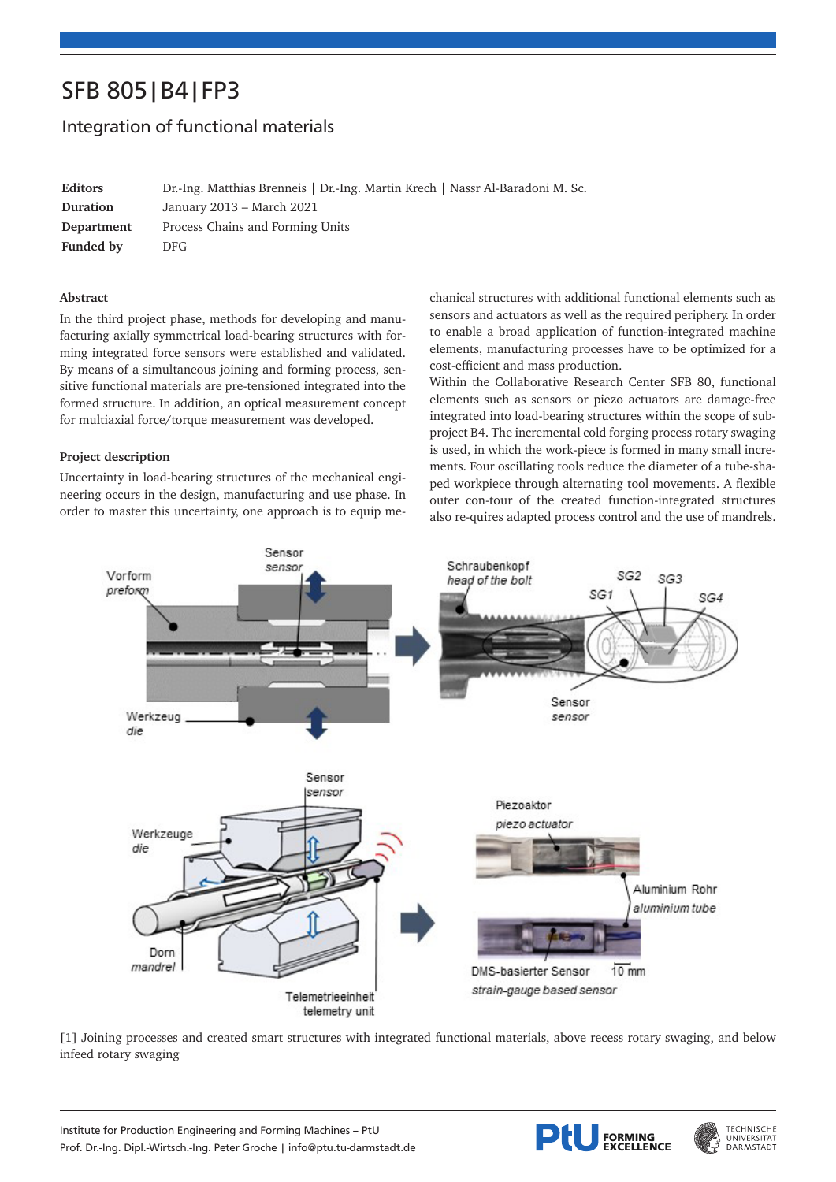# SFB 805|B4|FP3

# Integration of functional materials

**Editors** Dr.-Ing. Matthias Brenneis | Dr.-Ing. Martin Krech | Nassr Al-Baradoni M. Sc. **Duration** January 2013 – March 2021 **Department** Process Chains and Forming Units **Funded by** DFG

# **Abstract**

In the third project phase, methods for developing and manufacturing axially symmetrical load-bearing structures with forming integrated force sensors were established and validated. By means of a simultaneous joining and forming process, sensitive functional materials are pre-tensioned integrated into the formed structure. In addition, an optical measurement concept for multiaxial force/torque measurement was developed.

# **Project description**

Uncertainty in load-bearing structures of the mechanical engineering occurs in the design, manufacturing and use phase. In order to master this uncertainty, one approach is to equip mechanical structures with additional functional elements such as sensors and actuators as well as the required periphery. In order to enable a broad application of function-integrated machine elements, manufacturing processes have to be optimized for a cost-efficient and mass production.

Within the Collaborative Research Center SFB 80, functional elements such as sensors or piezo actuators are damage-free integrated into load-bearing structures within the scope of subproject B4. The incremental cold forging process rotary swaging is used, in which the work-piece is formed in many small increments. Four oscillating tools reduce the diameter of a tube-shaped workpiece through alternating tool movements. A flexible outer con-tour of the created function-integrated structures also re-quires adapted process control and the use of mandrels.



[1] Joining processes and created smart structures with integrated functional materials, above recess rotary swaging, and below infeed rotary swaging